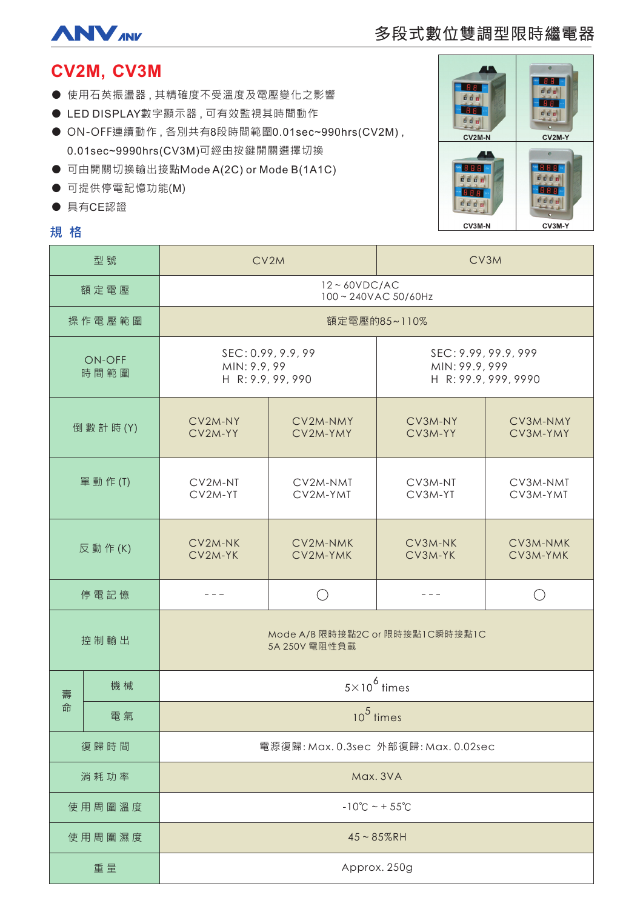

# 多段式數位雙調型限時繼電器

# CV2M, CV3M

- 使用石英振盪器,其精確度不受溫度及電壓變化之影響
- LED DISPLAY數字顯示器,可有效監視其時間動作
- ON-OFF連續動作,各別共有8段時間範圍0.01sec~990hrs(CV2M), 0.01sec~9990hrs(CV3M)可經由按鍵開關選擇切換
- 可由開關切換輸出接點Mode A(2C) or Mode B(1A1C)
- 可提供停電記憶功能(M)
- 具有CE認證

# 規格



| 型號             |    | CV2M                                                    |                      | CV3M                                                           |                      |
|----------------|----|---------------------------------------------------------|----------------------|----------------------------------------------------------------|----------------------|
| 額定電壓           |    | $12 - 60VDC/AC$<br>100~240VAC 50/60Hz                   |                      |                                                                |                      |
| 操作電壓範圍         |    | 額定電壓的85~110%                                            |                      |                                                                |                      |
| ON-OFF<br>時間範圍 |    | SEC: 0.99, 9.9, 99<br>MIN: 9.9, 99<br>H R: 9.9, 99, 990 |                      | SEC: 9.99, 99.9, 999<br>MIN: 99.9, 999<br>H R: 99.9, 999, 9990 |                      |
| 倒 數 計 時 (Y)    |    | CV2M-NY<br>CV2M-YY                                      | CV2M-NMY<br>CV2M-YMY | CV3M-NY<br>CV3M-YY                                             | CV3M-NMY<br>CV3M-YMY |
| 單 動 作 (T)      |    | CV2M-NT<br>CV2M-YT                                      | CV2M-NMT<br>CV2M-YMT | CV3M-NT<br>CV3M-YT                                             | CV3M-NMT<br>CV3M-YMT |
| 反動作(K)         |    | CV2M-NK<br>CV2M-YK                                      | CV2M-NMK<br>CV2M-YMK | CV3M-NK<br>CV3M-YK                                             | CV3M-NMK<br>CV3M-YMK |
| 停電記憶           |    | - - -                                                   |                      | $  -$                                                          | ( )                  |
| 控制輸出           |    | Mode A/B 限時接點2C or 限時接點1C瞬時接點1C<br>5A 250V 電阻性負載        |                      |                                                                |                      |
| 機械<br>壽        |    | $5\times10^6$ times                                     |                      |                                                                |                      |
| 命              | 電氣 | $10^5$ times                                            |                      |                                                                |                      |
| 復歸時間           |    | 電源復歸: Max. 0.3sec 外部復歸: Max. 0.02sec                    |                      |                                                                |                      |
| 消耗功率           |    | Max. 3VA                                                |                      |                                                                |                      |
| 使用周圍溫度         |    | $-10^{\circ}C - 55^{\circ}C$                            |                      |                                                                |                      |
| 使用周圍濕度         |    | $45 - 85%$ RH                                           |                      |                                                                |                      |
| 重量             |    | Approx. 250g                                            |                      |                                                                |                      |